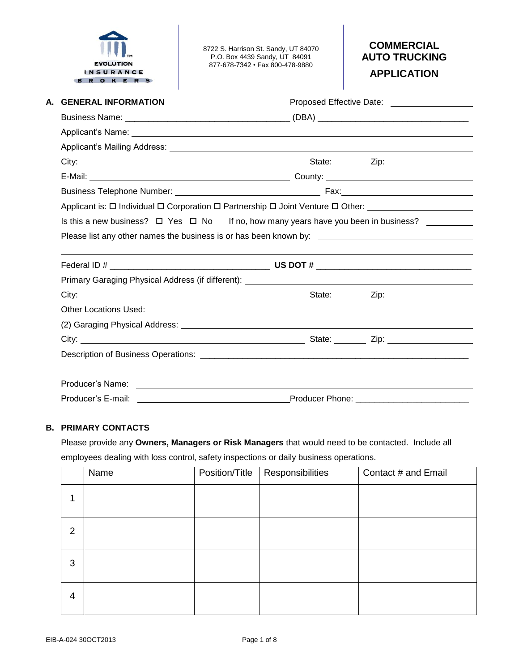

8722 S. Harrison St. Sandy, UT 84070 P.O. Box 4439 Sandy, UT 84091 877-678-7342 • Fax 800-478-9880

# **COMMERCIAL AUTO TRUCKING**

**APPLICATION**

| A. GENERAL INFORMATION       |                                                                                                          |
|------------------------------|----------------------------------------------------------------------------------------------------------|
|                              |                                                                                                          |
|                              |                                                                                                          |
|                              |                                                                                                          |
|                              |                                                                                                          |
|                              |                                                                                                          |
|                              |                                                                                                          |
|                              | Applicant is: $\Box$ Individual $\Box$ Corporation $\Box$ Partnership $\Box$ Joint Venture $\Box$ Other: |
|                              | Is this a new business? $\Box$ Yes $\Box$ No If no, how many years have you been in business? _________  |
|                              | Please list any other names the business is or has been known by: __________________________________     |
|                              |                                                                                                          |
|                              |                                                                                                          |
|                              |                                                                                                          |
|                              |                                                                                                          |
| <b>Other Locations Used:</b> |                                                                                                          |
|                              |                                                                                                          |
|                              |                                                                                                          |
|                              |                                                                                                          |
|                              |                                                                                                          |
|                              |                                                                                                          |
| Producer's E-mail:           |                                                                                                          |

#### **B. PRIMARY CONTACTS**

Please provide any **Owners, Managers or Risk Managers** that would need to be contacted. Include all employees dealing with loss control, safety inspections or daily business operations.

|   | Name | Position/Title   Responsibilities | Contact # and Email |
|---|------|-----------------------------------|---------------------|
|   |      |                                   |                     |
| 2 |      |                                   |                     |
| 3 |      |                                   |                     |
| 4 |      |                                   |                     |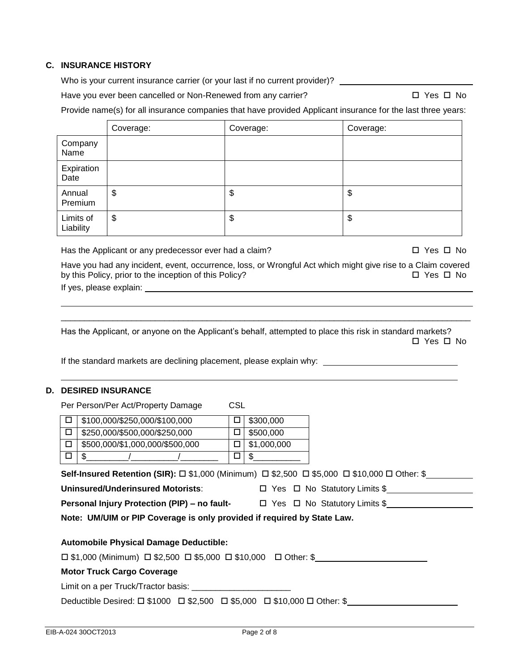#### **C. INSURANCE HISTORY**

Who is your current insurance carrier (or your last if no current provider)? \_\_\_\_\_\_\_\_\_\_\_\_\_\_\_\_\_

Have you ever been cancelled or Non-Renewed from any carrier?  $\Box$  Yes  $\Box$  Yes  $\Box$  No

Provide name(s) for all insurance companies that have provided Applicant insurance for the last three years:

|                        | Coverage: | Coverage: | Coverage: |
|------------------------|-----------|-----------|-----------|
| Company<br>Name        |           |           |           |
| Expiration<br>Date     |           |           |           |
| Annual<br>Premium      | \$        | \$        | \$        |
| Limits of<br>Liability | \$        | \$        | \$        |

Has the Applicant or any predecessor ever had a claim?  $\Box$  Yes  $\Box$  No

Have you had any incident, event, occurrence, loss, or Wrongful Act which might give rise to a Claim covered by this Policy, prior to the inception of this Policy? Yes No If yes, please explain:

Has the Applicant, or anyone on the Applicant's behalf, attempted to place this risk in standard markets? □ Yes □ No

\_\_\_\_\_\_\_\_\_\_\_\_\_\_\_\_\_\_\_\_\_\_\_\_\_\_\_\_\_\_\_\_\_\_\_\_\_\_\_\_\_\_\_\_\_\_\_\_\_\_\_\_\_\_\_\_\_\_\_\_\_\_\_\_\_\_\_\_\_\_\_\_\_\_\_\_\_\_\_\_\_\_\_\_\_\_\_

If the standard markets are declining placement, please explain why:

#### **D. DESIRED INSURANCE**

Per Person/Per Act/Property Damage CSL

| \$100,000/\$250,000/\$100,000   | \$300,000   |
|---------------------------------|-------------|
| \$250,000/\$500,000/\$250,000   | \$500,000   |
| \$500,000/\$1,000,000/\$500,000 | \$1,000,000 |
|                                 |             |

Uninsured/Underinsured Motorists: <br>
<sub>□</sub> Yes □ No Statutory Limits \$

**Personal Injury Protection (PIP) – no fault-**  $\Box$  Yes  $\Box$  No Statutory Limits \$\_\_\_\_\_\_\_\_\_\_\_\_\_\_\_\_\_\_\_\_\_\_\_\_\_\_\_\_\_\_\_\_\_\_\_ **Note: UM/UIM or PIP Coverage is only provided if required by State Law.**

# **Automobile Physical Damage Deductible:**

 $\Box$  \$1,000 (Minimum)  $\Box$  \$2,500  $\Box$  \$5,000  $\Box$  \$10,000  $\Box$  Other: \$

# **Motor Truck Cargo Coverage**

Limit on a per Truck/Tractor basis: \_\_\_\_\_\_\_\_\_\_\_

Deductible Desired:  $\square$  \$1000  $\square$  \$2,500  $\square$  \$5,000  $\square$  \$10,000  $\square$  Other: \$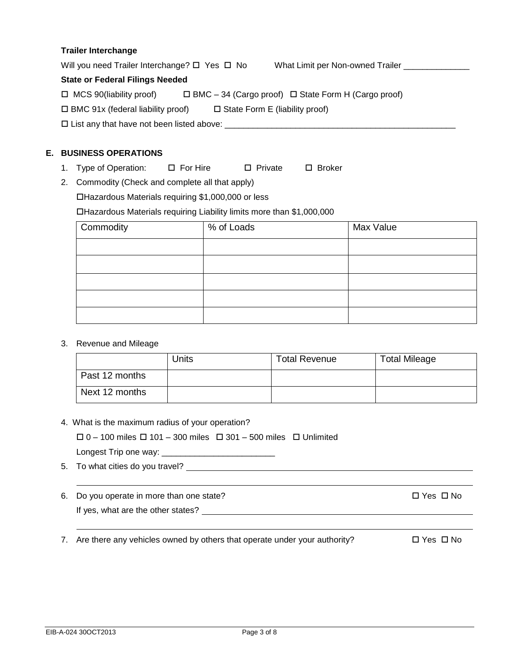#### **Trailer Interchange**

Will you need Trailer Interchange?  $\Box$  Yes  $\Box$  No What Limit per Non-owned Trailer \_\_\_\_\_\_\_\_\_\_\_\_\_\_ **State or Federal Filings Needed**

| $\Box$ MCS 90(liability proof) |  | $\Box$ BMC - 34 (Cargo proof) $\Box$ State Form H (Cargo proof) |
|--------------------------------|--|-----------------------------------------------------------------|
|--------------------------------|--|-----------------------------------------------------------------|

 $\Box$  BMC 91x (federal liability proof)  $\Box$  State Form E (liability proof)

List any that have not been listed above: \_\_\_\_\_\_\_\_\_\_\_\_\_\_\_\_\_\_\_\_\_\_\_\_\_\_\_\_\_\_\_\_\_\_\_\_\_\_\_\_\_\_\_\_\_\_\_\_\_

# **E. BUSINESS OPERATIONS**

- 1. Type of Operation:  $\Box$  For Hire  $\Box$  Private  $\Box$  Broker
- 2. Commodity (Check and complete all that apply)

Hazardous Materials requiring \$1,000,000 or less

Hazardous Materials requiring Liability limits more than \$1,000,000

| Commodity | % of Loads | Max Value |
|-----------|------------|-----------|
|           |            |           |
|           |            |           |
|           |            |           |
|           |            |           |
|           |            |           |

# 3. Revenue and Mileage

|                | Units | <b>Total Revenue</b> | <b>Total Mileage</b> |
|----------------|-------|----------------------|----------------------|
| Past 12 months |       |                      |                      |
| Next 12 months |       |                      |                      |

4. What is the maximum radius of your operation?

| $\Box$ 0 – 100 miles $\Box$ 101 – 300 miles $\Box$ 301 – 500 miles $\Box$ Unlimited |  |  |
|-------------------------------------------------------------------------------------|--|--|
|-------------------------------------------------------------------------------------|--|--|

Longest Trip one way: \_\_\_\_\_\_\_\_\_\_\_\_\_\_\_\_\_\_\_\_\_\_\_\_

- 5. To what cities do you travel?
- 6. Do you operate in more than one state?  $\square$  Yes  $\square$  No If yes, what are the other states?

7. Are there any vehicles owned by others that operate under your authority?  $\square$  Yes  $\square$  No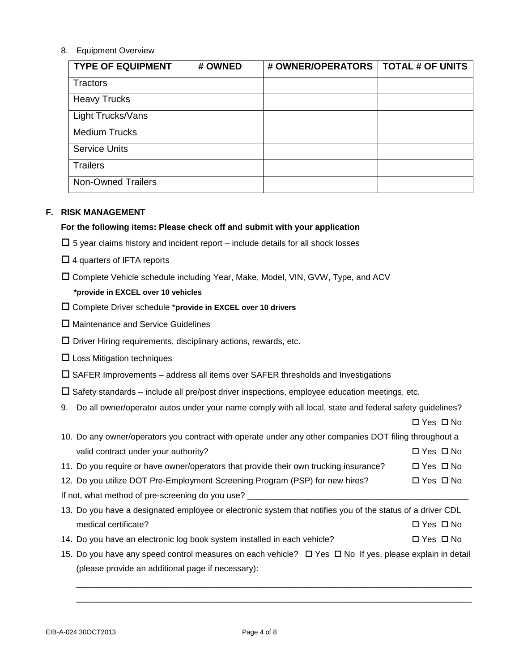#### 8. Equipment Overview

| <b>TYPE OF EQUIPMENT</b>  | # OWNED | # OWNER/OPERATORS   TOTAL # OF UNITS |  |
|---------------------------|---------|--------------------------------------|--|
| Tractors                  |         |                                      |  |
| <b>Heavy Trucks</b>       |         |                                      |  |
| Light Trucks/Vans         |         |                                      |  |
| <b>Medium Trucks</b>      |         |                                      |  |
| <b>Service Units</b>      |         |                                      |  |
| <b>Trailers</b>           |         |                                      |  |
| <b>Non-Owned Trailers</b> |         |                                      |  |

#### **F. RISK MANAGEMENT**

#### **For the following items: Please check off and submit with your application**

- $\Box$  5 year claims history and incident report include details for all shock losses
- $\Box$  4 quarters of IFTA reports
- Complete Vehicle schedule including Year, Make, Model, VIN, GVW, Type, and ACV

# **\*provide in EXCEL over 10 vehicles**

- Complete Driver schedule \***provide in EXCEL over 10 drivers**
- □ Maintenance and Service Guidelines
- $\square$  Driver Hiring requirements, disciplinary actions, rewards, etc.
- $\square$  Loss Mitigation techniques
- $\square$  SAFER Improvements address all items over SAFER thresholds and Investigations
- $\square$  Safety standards include all pre/post driver inspections, employee education meetings, etc.
- 9. Do all owner/operator autos under your name comply with all local, state and federal safety guidelines?

|                                                                                                            | $\Box$ Yes $\Box$ No |
|------------------------------------------------------------------------------------------------------------|----------------------|
| 10. Do any owner/operators you contract with operate under any other companies DOT filing throughout a     |                      |
| valid contract under your authority?                                                                       | □ Yes □ No           |
| 11. Do you require or have owner/operators that provide their own trucking insurance?                      | $\Box$ Yes $\Box$ No |
| 12. Do you utilize DOT Pre-Employment Screening Program (PSP) for new hires?                               | $\Box$ Yes $\Box$ No |
| If not, what method of pre-screening do you use?                                                           |                      |
| 13. Do you have a designated employee or electronic system that notifies you of the status of a driver CDL |                      |
| medical certificate?                                                                                       | $\Box$ Yes $\Box$ No |
| 14. Do you have an electronic log book system installed in each vehicle?                                   | $\Box$ Yes $\Box$ No |

15. Do you have any speed control measures on each vehicle?  $\Box$  Yes  $\Box$  No If yes, please explain in detail

\_\_\_\_\_\_\_\_\_\_\_\_\_\_\_\_\_\_\_\_\_\_\_\_\_\_\_\_\_\_\_\_\_\_\_\_\_\_\_\_\_\_\_\_\_\_\_\_\_\_\_\_\_\_\_\_\_\_\_\_\_\_\_\_\_\_\_\_\_\_\_\_\_\_\_\_\_\_\_\_\_\_\_\_ \_\_\_\_\_\_\_\_\_\_\_\_\_\_\_\_\_\_\_\_\_\_\_\_\_\_\_\_\_\_\_\_\_\_\_\_\_\_\_\_\_\_\_\_\_\_\_\_\_\_\_\_\_\_\_\_\_\_\_\_\_\_\_\_\_\_\_\_\_\_\_\_\_\_\_\_\_\_\_\_\_\_\_\_

(please provide an additional page if necessary):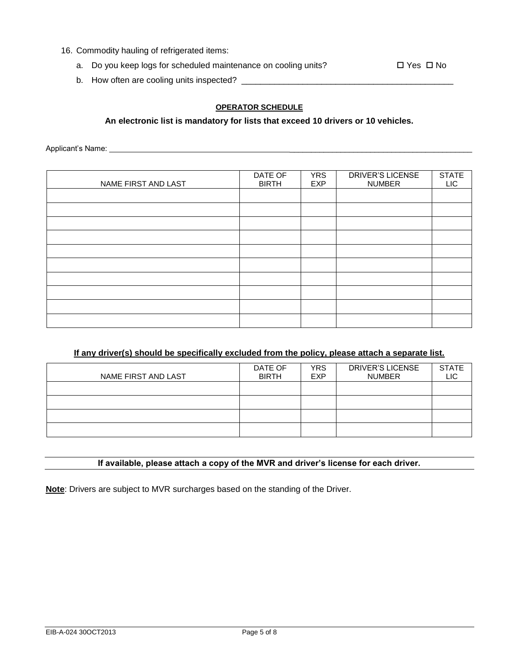- 16. Commodity hauling of refrigerated items:
	- a. Do you keep logs for scheduled maintenance on cooling units?  $\square$  Yes  $\square$  No

b. How often are cooling units inspected? \_\_\_\_\_\_\_\_\_\_\_\_\_\_\_\_\_\_\_\_\_\_\_\_\_\_\_\_\_\_\_\_\_\_\_\_\_\_\_\_\_\_\_\_\_

#### **OPERATOR SCHEDULE**

#### **An electronic list is mandatory for lists that exceed 10 drivers or 10 vehicles.**

Applicant's Name: \_\_\_\_\_\_\_\_\_\_\_\_\_\_\_\_\_\_\_\_\_\_\_\_\_\_\_\_\_\_\_\_\_\_\_\_\_\_\_\_\_\_\_

| NAME FIRST AND LAST | DATE OF<br><b>BIRTH</b> | <b>YRS</b><br><b>EXP</b> | DRIVER'S LICENSE<br><b>NUMBER</b> | <b>STATE</b><br><b>LIC</b> |
|---------------------|-------------------------|--------------------------|-----------------------------------|----------------------------|
|                     |                         |                          |                                   |                            |
|                     |                         |                          |                                   |                            |
|                     |                         |                          |                                   |                            |
|                     |                         |                          |                                   |                            |
|                     |                         |                          |                                   |                            |
|                     |                         |                          |                                   |                            |
|                     |                         |                          |                                   |                            |
|                     |                         |                          |                                   |                            |
|                     |                         |                          |                                   |                            |
|                     |                         |                          |                                   |                            |

# **If any driver(s) should be specifically excluded from the policy, please attach a separate list.**

| NAME FIRST AND LAST | DATE OF<br><b>BIRTH</b> | <b>YRS</b><br><b>EXP</b> | <b>DRIVER'S LICENSE</b><br><b>NUMBER</b> | <b>STATE</b><br>∟IC |
|---------------------|-------------------------|--------------------------|------------------------------------------|---------------------|
|                     |                         |                          |                                          |                     |
|                     |                         |                          |                                          |                     |
|                     |                         |                          |                                          |                     |
|                     |                         |                          |                                          |                     |

#### **If available, please attach a copy of the MVR and driver's license for each driver.**

**Note**: Drivers are subject to MVR surcharges based on the standing of the Driver.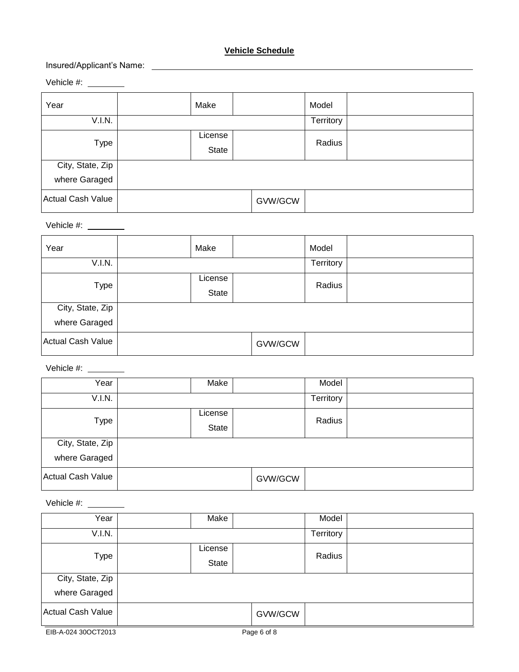# **Vehicle Schedule**

# Insured/Applicant's Name:

Vehicle #:

| Year                     | Make             |         | Model     |  |
|--------------------------|------------------|---------|-----------|--|
| V.I.N.                   |                  |         | Territory |  |
| Type                     | License<br>State |         | Radius    |  |
| City, State, Zip         |                  |         |           |  |
| where Garaged            |                  |         |           |  |
| <b>Actual Cash Value</b> |                  | GVW/GCW |           |  |

# Vehicle #:

| Year                              | Make             |         | Model     |  |
|-----------------------------------|------------------|---------|-----------|--|
| V.I.N.                            |                  |         | Territory |  |
| <b>Type</b>                       | License<br>State |         | Radius    |  |
| City, State, Zip<br>where Garaged |                  |         |           |  |
| Actual Cash Value                 |                  | GVW/GCW |           |  |

Vehicle #:

| Year              | Make             |         | Model     |  |
|-------------------|------------------|---------|-----------|--|
| V.I.N.            |                  |         | Territory |  |
| Type              | License<br>State |         | Radius    |  |
| City, State, Zip  |                  |         |           |  |
| where Garaged     |                  |         |           |  |
| Actual Cash Value |                  | GVW/GCW |           |  |

Vehicle #:

| Year                              | Make             |         | Model     |  |
|-----------------------------------|------------------|---------|-----------|--|
| V.I.N.                            |                  |         | Territory |  |
| Type                              | License<br>State |         | Radius    |  |
| City, State, Zip<br>where Garaged |                  |         |           |  |
| Actual Cash Value                 |                  | GVW/GCW |           |  |